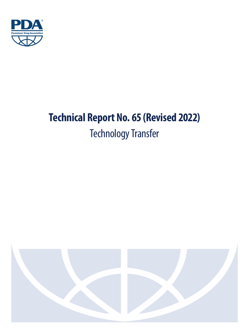

# **Technical Report No. 65 (Revised 2022)** Technology Transfer

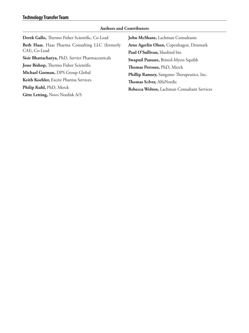### **Authors and Contributors**

| John McShane, Lachman Consultants           |
|---------------------------------------------|
| Arne Agerlin Olsen, Copenhagen, Denmark     |
| Paul O'Sullivan, bluebird bio               |
| Swapnil Pansare, Bristol-Myers Squibb       |
| Thomas Perrone, PhD, Merck                  |
| Phillip Ramsey, Sangamo Therapeutics, Inc.  |
| Thomas Sølver, AlfaNordic                   |
| Rebecca Welton, Lachman Consultant Services |
|                                             |
|                                             |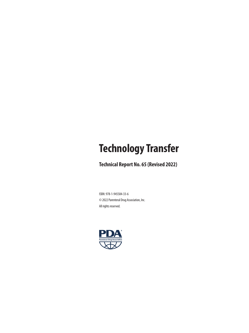## **Technology Transfer**

**Technical Report No. 65 (Revised 2022)**

ISBN: 978-1-945584-33-6 © 2022 Parenteral Drug Association, Inc. All rights reserved.

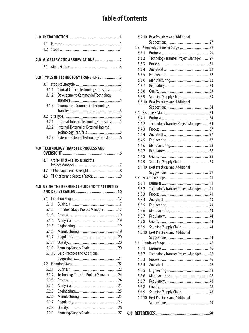### **Table of Contents**

| 1.0 |                |                                            |
|-----|----------------|--------------------------------------------|
|     | 1.1            |                                            |
|     | 1.2            |                                            |
|     |                |                                            |
|     |                |                                            |
|     | 2.1            |                                            |
|     |                | 3.0 TYPES OF TECHNOLOGY TRANSFERS 3        |
|     |                |                                            |
|     | 3.1.1          | Clinical-Clinical Technology Transfers4    |
|     | 3.1.2          | <b>Development-Commercial Technology</b>   |
|     |                |                                            |
|     | 3.1.3          | Commercial-Commercial Technology           |
|     |                |                                            |
|     |                |                                            |
|     | 3.2.1          | Internal-Internal Technology Transfers5    |
|     | 3.2.2          | Internal-External or External-Internal     |
|     | 3.2.3          | External-External Technology Transfers 6   |
|     |                |                                            |
| 4.0 |                | <b>TECHNOLOGY TRANSFER PROCESS AND</b>     |
|     |                |                                            |
|     | 4.1            | Cross-Functional Roles and the             |
|     |                |                                            |
|     | 4.2            |                                            |
|     | 4.3            |                                            |
|     |                |                                            |
|     |                |                                            |
| 5.0 |                | USING THE REFERENCE GUIDE TO TT ACTIVITIES |
|     |                |                                            |
|     | 5.1.1          |                                            |
|     | 5.1.2          | Initiation Stage Project Manager17         |
|     | 5.1.3          |                                            |
|     | 5.1.4          |                                            |
|     | 5.1.5          |                                            |
|     | 5.1.6          |                                            |
|     | 5.1.7          |                                            |
|     | 5.1.8          |                                            |
|     | 5.1.9          | Sourcing/Supply Chain 20                   |
|     | 5.1.10         | <b>Best Practices and Additional</b>       |
|     | 5.2            |                                            |
|     | 5.2.1          |                                            |
|     | 5.2.2          | Technology Transfer Project Manager 24     |
|     | 5.2.3          |                                            |
|     | 5.2.4          |                                            |
|     | 5.2.5          |                                            |
|     | 5.2.6          |                                            |
|     | 5.2.7          |                                            |
|     | 5.2.8<br>5.2.9 | Sourcing/Supply Chain 27                   |

|                | 5.2.10 Best Practices and Additional   |  |
|----------------|----------------------------------------|--|
|                |                                        |  |
| 5.3            |                                        |  |
| 5.3.1          |                                        |  |
| 5.3.2          | Technology Transfer Project Manager 29 |  |
| 5.3.3          |                                        |  |
| 5.3.4          |                                        |  |
| 5.3.5          |                                        |  |
| 5.3.6          |                                        |  |
| 5.3.7          |                                        |  |
| 5.3.8          |                                        |  |
| 5.3.9          | Sourcing/Supply Chain 33               |  |
| 5.3.10         | <b>Best Practices and Additional</b>   |  |
|                |                                        |  |
|                |                                        |  |
| 5.4.1          |                                        |  |
| 5.4.2          | Technology Transfer Project Manager 34 |  |
| 5.4.3          |                                        |  |
| 5.4.4          |                                        |  |
| 5.4.5          |                                        |  |
| 5.4.6          |                                        |  |
| 5.4.7          |                                        |  |
| 5.4.8          |                                        |  |
| 5.4.9          | Sourcing/Supply Chain 39               |  |
| 5.4.10         | <b>Best Practices and Additional</b>   |  |
|                |                                        |  |
|                |                                        |  |
| 5.5.1          |                                        |  |
| 5.5.2          | Technology Transfer Project Manager 41 |  |
| 5.5.3          |                                        |  |
| 5.5.4          |                                        |  |
| 5.5.5          |                                        |  |
| 5.5.6          |                                        |  |
| 5.5.7          |                                        |  |
| 5.5.8          |                                        |  |
| 5.5.9          | Sourcing/Supply Chain 44               |  |
| 5.5.10         | <b>Best Practices and Additional</b>   |  |
|                |                                        |  |
| 5.6            |                                        |  |
| 5.6.1          |                                        |  |
| 5.6.2          | Technology Transfer Project Manager 46 |  |
| 5.6.3<br>5.6.4 |                                        |  |
|                |                                        |  |
| 5.6.5          |                                        |  |
| 5.6.6<br>5.6.7 |                                        |  |
| 5.6.8          |                                        |  |
| 5.6.9          | Sourcing/Supply Chain 48               |  |
| 5.6.10         | <b>Best Practices and Additional</b>   |  |
|                |                                        |  |
|                |                                        |  |
|                |                                        |  |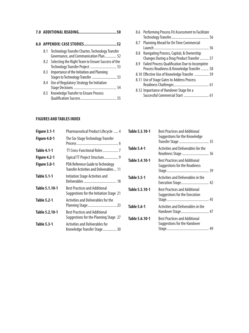|  | 7.0 ADDITIONAL READING<br>50                                                                  |
|--|-----------------------------------------------------------------------------------------------|
|  |                                                                                               |
|  | 8.1 Technology Transfer Charter, Technology Transfer<br>Governance, and Communication Plan 52 |
|  | 8.2 Selecting the Right Team to Ensure Success of the<br>Technology Transfer Project  53      |
|  | 8.3 Importance of the Initiation and Planning                                                 |
|  | 8.4 Use of Regulatory Strategy for Initiation                                                 |
|  | 8.5 Knowledge Transfer to Ensure Process                                                      |

|     | 8.6 Performing Process Fit Assessment to Facilitate |
|-----|-----------------------------------------------------|
|     |                                                     |
|     | 8.7 Planning Ahead for On Time Commercial           |
|     |                                                     |
| 8.8 | Navigating Process, Capital, & Ownership            |
|     | Changes During a Drug Product Transfer  57          |
|     | 8.9 Failed Process Qualification Due to Incomplete  |
|     | Process Readiness & Knowledge Transfer  58          |
|     | 8.10 Effective Use of Knowledge Transfer  59        |
|     | 8.11 Use of Stage Gates to Address Process          |
|     |                                                     |
|     | 8.12 Importance of Handover Stage for a             |
|     | Successful Commercial Start  61                     |

#### **FIGURES AND TABLES INDEX**

| <b>Figure 3.1-1</b> | Pharmaceutical Product Lifecycle  4                                             |
|---------------------|---------------------------------------------------------------------------------|
| Figure 4.0-1        | The Six-Stage Technology Transfer                                               |
| <b>Table 4.1-1</b>  | TT Cross-Functional Roles  7                                                    |
| Figure 4.2-1        | Typical TT Project Structure 9                                                  |
| Figure 5.0-1        | PDA Reference Guide to Technology<br>Transfer Activities and Deliverables 11    |
| <b>Table 5.1-1</b>  | Initiation Stage Activities and                                                 |
| Table 5.1.10-1      | <b>Best Practices and Additional</b><br>Suggestions for the Initiation Stage 21 |
| <b>Table 5.2-1</b>  | Activities and Deliverables for the<br>Planning Stage 23                        |
| Table 5.2.10-1      | <b>Best Practices and Additional</b><br>Suggestions for the Planning Stage 27   |
| <b>Table 5.3-1</b>  | <b>Activities and Deliverables for</b><br>Knowledge Transfer Stage 30           |

| Table 5.3.10-1     | <b>Best Practices and Additional</b><br>Suggestions for the Knowledge<br>Transfer Stage  35 |  |
|--------------------|---------------------------------------------------------------------------------------------|--|
| <b>Table 5.4-1</b> | <b>Activities and Deliverables for the</b><br>Readiness Stage  36                           |  |
| Table 5.4.10-1     | <b>Best Practices and Additional</b><br>Suggestions for the Readiness                       |  |
| <b>Table 5.5-1</b> | Activities and Deliverables in the<br>Execution Stage 42                                    |  |
| Table 5.5.10-1     | <b>Best Practices and Additional</b><br>Suggestions for the Execution                       |  |
| <b>Table 5.6-1</b> | <b>Activities and Deliverables in the</b><br>Handover Stage 47                              |  |
| Table 5.6.10-1     | <b>Best Practices and Additional</b><br>Suggestions for the Handover                        |  |